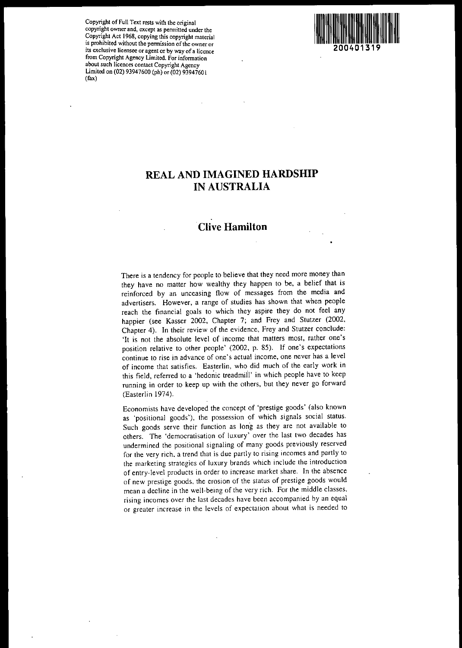Cop~ght of Full **Text rests with the original copynght owner and, except as pennitted under the** ~opyri?~t **Act 968, copying this copyright material IS prohibited WIthout the pennission ofthe owner or its exclusive licensee or agent or by way ofa licence from Copyright Agency Limited. For infonnation** a~o~t **such licences contact Copyright Agency** Limited on (02) 93947600 (ph) or (02) 93947601 (fax)



# **REAL AND IMAGINED HARDSHIP IN AUSTRALIA**

# **Clive Hamilton**

There is a tendency for people to believe that they need more money than they have no matter how wealthy they happen to be, a belief that is **reinforced by an unceasing flow of messages from the media and advertisers. However, a range of studies has shown that when people** reach the financial goals to which they aspire they do not feel any happier (see Kasser 2002, Chapter 7; and Frey and Stutzer (2002, Chapter 4). In their review of the evidence, Frey and Stutzer conclude: 'It is not the absolute level of income that matters most, rather one's position relative to other people' (2002, p. 85). If one's expectations **continue to rise in advance of one's actual income, one never has a level of income that satisfies. Easterlin, who did much of the early work in** this field, referred to a 'hedonic treadmill' in which people have to keep running in order to keep up with the others, but they never go forward (Easterlin 1974).

Economists have developed the concept of 'prestige goods' (also known as 'positional goods'), the possession of which signals social status. **Such goods serve their function as long as they are not available to others. The 'democratisation of luxury' over the last two decades has undermined the positional signaling of many goods previously reserved for the very rich, a trend that is due partly to rising incomes and partly to the marketing strategies of luxury brands which include the introduction of entry-level products in order to increase market share. In the absence of new prestige goods, the erosion of the status of prestige goods would** mean a decline in the well-being of the very rich. For the middle classes. **rising incomes over the last decades have been accompanied by an equal or greater increase in the levels of expectalion about what is needed to**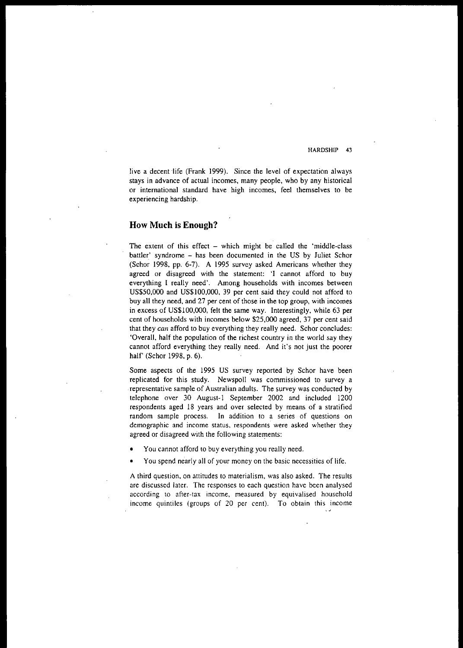live a decent 'life (Frank 1999). Since the level of expectation always stays in advance of actual incomes, many people, who by any historical **or international standard have high incomes. feel themselves to be experiencing hardship.**

# **How Much is Enough?**

The extent of this effect  $-$  which might be called the 'middle-class battler' syndrome - has been documented in the US by Juliet Schor (Schor 1998, pp. 6-7). A 1995 survey asked Americans whether they agreed or disagreed with the statement: 'I cannot afford to buy everything 1 really need'. Among households with incomes between US\$50,000 and US\$lOO,OOO, 39 per cent said they could not afford to buy all they need, and 27 per cent of those in the top group, with incomes in excess of US\$lOO,OOO, felt the same way. Interestingly, while 63 per cent of households with incomes below \$25,000 agreed, 37 per cent said that they can afford to buy everything they really need. Schor concludes: 'Overall, half the population of the richest country in the world say they cannot afford everything they really need. And it's not just the poorer half' (Schor 1998, p. 6).

Some aspects of the 1995 US survey reported by Schor have been replicated for this study. Newspoll was commissioned to survey a .representative sample of Australian adults. The survey was conducted by telephone over 30 August-I September 2002 and included 1200 respondents aged 18 years and over selected by means of a stratified **random sample process. In addition to a series of questions on demographic and income status, respondents were asked whether they** agreed or disagreed with the following statements:

- You cannot afford to buy everything you really need.
- You spend nearly all of your money on the basic necessities of life.

A third question, on attitudes to materialism, was also asked. The results **are discussed later. The responses to each question have been analysed according to after-tax income, measured by equivalised household income quintiles (groups of 20 per cent). To obtain this income**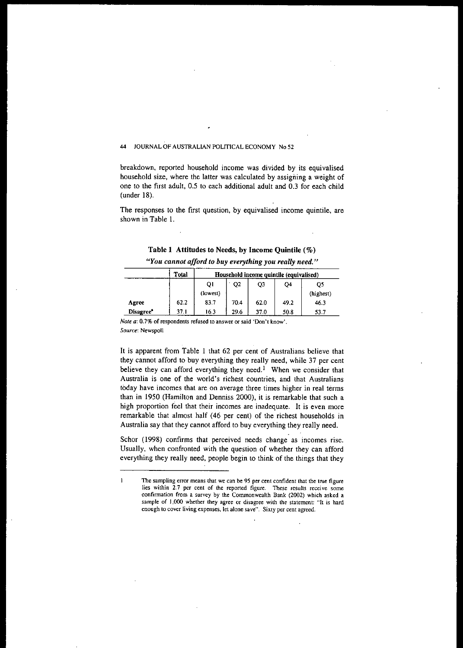breakdown, reported household income was divided by its equivalised household size, where the latter was calculated by assigning a weight of one to the first adult, 0.5 to each additional adult and 0.3 for each child (under 18).

The responses to the first question, by equivalised income quintile, are shown in Table I.

| Table 1 Attitudes to Needs, by Income Quintile (%) |  |
|----------------------------------------------------|--|
|----------------------------------------------------|--|

| "You cannot afford to buy everything you really need." |  |  |
|--------------------------------------------------------|--|--|
|--------------------------------------------------------|--|--|

|                       | Total | Household income quintile (equivalised) |                |      |      |           |  |  |
|-----------------------|-------|-----------------------------------------|----------------|------|------|-----------|--|--|
|                       |       | QI                                      | Q <sub>2</sub> | Q3   | O4   | Q5        |  |  |
|                       |       | (lowest)                                |                |      |      | (highest) |  |  |
| Agree                 | 62.2  | 83.7                                    | 70.4           | 62.0 | 49.2 | 46.3      |  |  |
| Disagree <sup>*</sup> | 37.1  | 16.3                                    | 29.6           | 37.0 | 50.8 | 53.7      |  |  |

**Note a: 0.7%** of respondents **refused to answer or said 'Don't know'.** *Source:* **Newspoll**

It is apparent from Table I that 62 per cent of Australians believe that they cannot afford to buy everything they really need, while 37 per cent believe they can afford everything they need.<sup>1</sup> When we consider that **Australia is one of the world's richest countries, and that Australians today have incomes that are on average three times higher in real terms** than in 1950 (Hamilton and Denniss 2000), it is remarkable that such a high proportion feel that their incomes are inadequate. It is even more remarkable that almost half (46 per cent) of the richest households in Australia say that they cannot afford to buy everything they really need.

Schor (1998) confirms that perceived needs change as incomes rise. Usually, when confronted with the question of whether they can afford everything they really need, people begin to think of the things that they

 $\mathbf{I}$ **The sampling error means that we can be 95 per cent confident that the true figure lies within 2.7 per cenl of the reported figure. These results receive some confinnation from a survey by the Commonwealth Bank (2002) which asked a sample of J,000 whether they agree or disagree with the statement: "It is hard enough to cover living expenses, let alone save". Sixty per cent agreed.**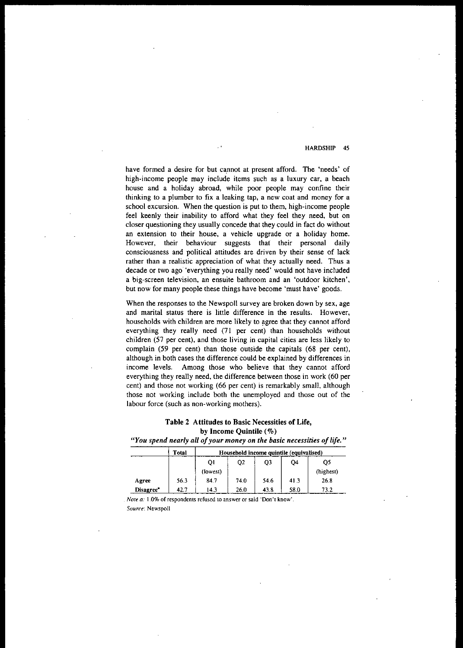have formed a desire for but cannot at present afford. The 'needs' of high-income people may include items such as a luxury car, a beach house and a holiday abroad, while poor people may confine their **thinking** to a plumber to fix a leaking tap, a new coat and money for a school excursion. When the question is put to them, high-income people feel keenly their inability to afford what they feel they need, but on closer questioning they usually concede that they could in fact do without an extension to their house, a vehicle upgrade or a holiday home. However, their behaviour suggests that their personal daily consciousness and political attitudes are driven by their sense of lack rather than a realistic appreciation of what they actually need. Thus a decade or two ago 'everything you really need' would not have included a big-screen television, an ensuite bathroom and an 'outdoor kitchen', but now for many people these things have become 'must have' goods.

When the responses to the Newspoll survey are broken down by sex, age and marital status there is little difference in the results. However, households with children are more likely to agree that they cannot afford everything they really need (71 per cent) than households without children (57 per cent), and those living in capital cities are less likely to complain (59 per cent) than those outside the capitals (68 per cent), although in both cases the difference could be explained by differences in income levels. Among those who believe that they cannot afford everything they really need, the difference between those in work (60 per cent) and those not working (66 per cent) is remarkably small, although those not working include both the unemployed and those out of the labour force (such as non-working mothers).

# Table 2 Attitudes to Basic Necessities of Life, by Income Quintile (%)

*"You spend nearly all ofyour money on the basic necessities oflife."*

|           | Total |                |                |           | Household income quintile (equivalised) |           |
|-----------|-------|----------------|----------------|-----------|-----------------------------------------|-----------|
|           |       | O <sub>1</sub> | Q <sub>2</sub> | <b>O3</b> | Q4                                      | OS        |
|           |       | (lowest)       |                |           |                                         | (highest) |
| Agree     | 56.3  | 84.7           | 74.0           | 54.6      | 41.3                                    | 26.8      |
| Disagree" | 42.7  | 14.3           | 26.0           | 43.8      | 58.0                                    | 73.2      |

*Note a:* 1.0% of respondents refused to answer or said 'Don't know'. *SOIIn'e:* Newspoll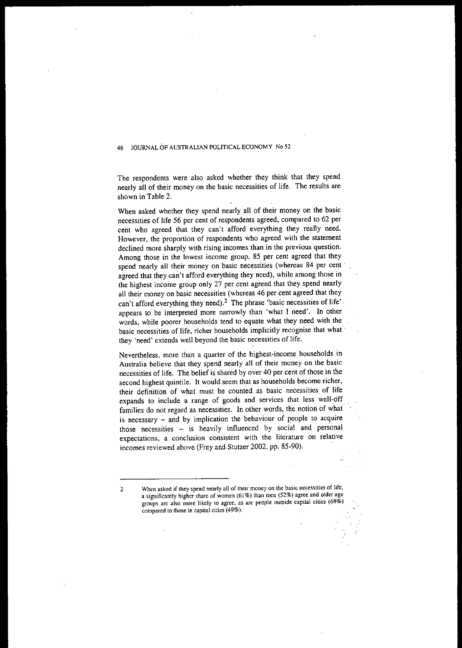The respondents were also asked whether they think that they spend nearly all of their money on the basic necessities of life. The results are shown in Table 2.

When asked whether they spend nearly all of their money on the basic necessities of life 56 per cent of respondents agreed, compared to 62 per cent who agreed that they can't afford everything they really need. However, the proportion of respondents who agreed with the statement declined more sharply with rising incomes than in the previous question. Among those in the lowest income group, 85 per cent agreed that they spend nearly all their money on basic necessities (whereas 84 per cent' agreed that they can't afford everything they need), while among those in the highest income group only 27 per cent agreed that they spend nearly all their money on basic necessities (whereas 46 per cent agreed that they can't afford everything they need).<sup>2</sup> The phrase 'basic necessities of life'. appears to be interpreted more narrowly than 'what I need'. In other, words, while poorer households tend to equate what they need with the basic necessities of life, richer households implicitly recognise that what' they 'need' extends well beyond the basic necessities of life.

Nevertheless, more than a quarter of the highest-income households in Australia believe that they spend nearly all of their money on the basic necessities of life. The belief is shared by over 40 per cent of those in the second highest quintile. It would seem that as households become richer, their definition of what must be counted as basic necessities, of life expands to include a range of goods and services that less well-off families do not regard as necessities. In other words, the notion of what' is necessary - and by implication the behaviour of people to acquire those necessities - is heavily influenced by social and personal **expectations, a conclusion consistent with the literature on relative** incomes reviewed above (Frey and Stutzer 2002, pp. 85-90).

**2 When asked if they spend nearly all of their money on the basic necessities of life, a significantly higher share of women (61 %) than men (52%) agree and older age groups are also more likely to agree, as are people outside capital cities (69%) compared to those in capital cities (49%).**

 $\mathbf{L}$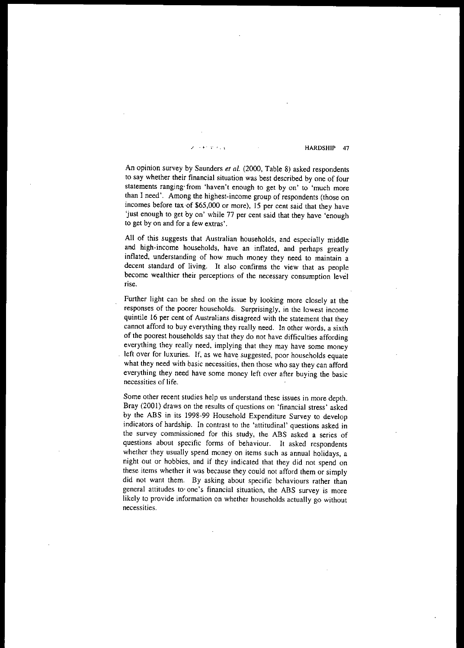$\mathcal{L}(\mathcal{L}, \mathcal{L})$  . The set of the HARDSHIP 47

An opinion survey by Saunders *et al.* (2000, Table 8) asked respondents to say whether their financial situation was best described by one of four **statements** ranging' from **'haven't enough to get by on' to 'much more** than I need'. Among the highest-income group of respondents (those on incomes before tax ·of \$65,000 or more), 15 per cent said that they have 'just enough to get by on' while 77 per cent said that they have 'enough to get by on and for a few extras'.

All of this suggests that Australian households, and especially middle and high-income households, have an inflated, and perhaps greatly inflated, understanding of how much money they need to maintain a decent standard of living. It also confirms the view that as people **become wealthier their perceptions of the necessary consumption levd rise.**

Further light can be shed on the issue by looking more closely at the **responses of the poorer households. Surprisingly, in the lowest income** quintile 16 per cent of Australians disagreed with the statement that they cannot afford to buy everything they really need. In other words, a sixth of the poorest households say that they do not have difficulties affording everything they really need, implying that they may have some money left over for luxuries. If, as we have suggested, poor households equate what they need with basic necessities, then those who say they can afford everything they need have some money left over after buying the basic **necessities of life.**

**Some other recent studies help us understand these issues in more depth.** Bray (2001) draws on the results of questions on 'financial stress' asked by the ABS in its 1998-99 Household Expenditure Survey to develop indicators of hardship. In contrast to the 'attitudinal' questions asked in the survey commissioned for this study, the ABS asked a series of questions about specific forms of behaviour. It asked respondents whether they usually spend money on items such as annual holidays, a night out or hobbies, and if they indicated that they did not spend on these items whether it was because they could not afford them or simply did not want them. By asking about specific behaviours rather than **general attitudes to· one's financial situation, the ABS survey is more** likely to provide information on whether households actually go without **necessities.**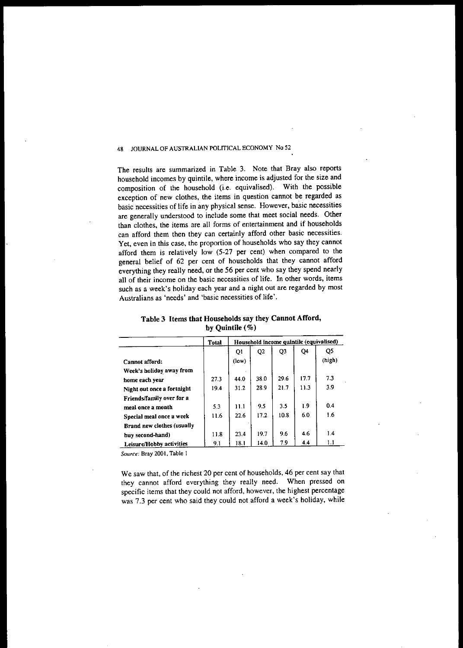The results are summarized in Table 3. Note that Bray also reports household incomes by quintile, where income is adjusted for the size and composition of the household (i.e. equivalised). With the possible exception of new clothes, the items in question cannot be regarded as basic necessities of life in any physical sense. However, basic necessities are generally understood to include some that meet social needs. Other than clothes, the items are all forms of entertainment and if households can afford them then they can certainly afford other basic necessities. Yet, even in this case, the proportion of households who say they cannot afford them is relatively low (5-27 per cent) when compared to the general belief of 62 per cent of households that they cannot afford everything they really need, or the 56 per cent who say they spend nearly **all of their income on the basic necessities of life. In other words, items** such as a week's holiday each year and a night out are regarded by most **Australians as 'needs' and 'basic necessities of life'.**

| Table 3 Items that Households say they Cannot Afford, |
|-------------------------------------------------------|
| by Quintile $(\%)$                                    |

|                            | <b>Total</b> | Household income quintile (equivalised) |                |      |      |        |  |
|----------------------------|--------------|-----------------------------------------|----------------|------|------|--------|--|
|                            |              | Q <sub>1</sub>                          | Q <sub>2</sub> | Q3   | Q4   | Q5     |  |
| Cannot afford:             |              | (low)                                   |                |      |      | (high) |  |
| Week's holiday away from   |              |                                         |                |      |      |        |  |
| home each year             | 27.3         | 44.0                                    | 380            | 29.6 | 17.7 | 7.3    |  |
| Night out once a fortnight | 19.4         | 31.2                                    | 28.9           | 21.7 | 11.3 | 3.9    |  |
| Friends/family over for a  |              |                                         |                |      |      |        |  |
| meal once a month          | 5.3          | 11.1                                    | 95             | 3.5  | 1.9  | 0.4    |  |
| Special meal once a week   | 11.6         | 22.6                                    | 17.2           | 10.8 | 6.0  | 1.6    |  |
| Brand new clothes (usually |              |                                         |                |      |      |        |  |
| buv second-hand)           | 11.8         | 23.4                                    | 19.7           | 9.6  | 4.6  | 1.4    |  |
| Leisure/Hobby activities   | 9.1          | 18.1                                    | 14.0           | 7.9  | 4.4  | 1.1    |  |

*Source:* **Bray 2001, Table 1**

We saw that, of the richest 20 per cent of households, 46 per cent say that they cannot afford everything they really need. When pressed on specific items that they could not afford, however, the highest percentage was 7.3 per cent who said they could not afford a week's holiday, while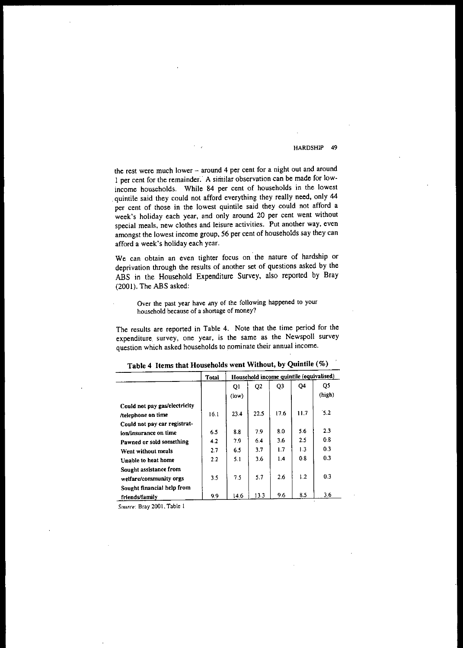**the rest were much lower - around 4 per cent for a night out and around** 1 per cent for the remainder. A similar observation can be made for lowincome households. While 84 per cent of households in the lowest quintile said they could not afford everything they really need, only 44 per cent of those in the lowest quintile said they could not afford a week's holiday each year, and only around 20 per cent went without **special meals, new clothes and leisure activities. Put another way. even** amongst the lowest income group, 56 per cent of households say they can afford a week's holiday each year.

We can obtain an even tighter focus on the nature of hardship or deprivation through the results of another set of questions asked by the ABS in the Household Expenditure Survey, also reported by Bray (2001). The ABS asked:

**Over the past year have any of the following happened to your household because of a shonage of money?**

The results are reported in Table 4. Note that the time period for the **expenditure. survey. one year. is the same as the Newspoll survey question which asked households to .nominate their annual income.**

|                               | <b>Total</b> | Household income quintile (equivalised) |                |                |     |        |  |
|-------------------------------|--------------|-----------------------------------------|----------------|----------------|-----|--------|--|
|                               |              | Q <sub>1</sub>                          | Q <sub>2</sub> | Q <sub>3</sub> | Q4  | Q5     |  |
|                               |              | (low)                                   |                |                |     | (high) |  |
| Could not pay gas/electricity |              |                                         |                |                |     |        |  |
| /telephone on time            | 16.1         | 23.4                                    | 22.5           | 17.6           | 117 | 5.2    |  |
| Could not pay car registrat-  |              |                                         |                |                |     |        |  |
| ion/insurance on time         | 6.5          | 8.8                                     | 7.9            | 8.0            | 5.6 | 2.3    |  |
| Pawned or sold something      | 4.2          | 7.9                                     | 6.4            | 3.6            | 2.5 | 0.8    |  |
| Went without meals            | 2.7          | 6.5                                     | 3.7            | 1.7            | 1.3 | 0.3    |  |
| Unable to heat home           | 22           | 5.1                                     | 3.6            | 1.4            | 0.8 | 0.3    |  |
| Sought assistance from        |              |                                         |                |                |     |        |  |
| welfare/community orgs        | 35           | 7.5                                     | 5.7            | 2.6            | 1.2 | 0.3    |  |
| Sought financial help from    |              |                                         |                |                |     |        |  |
| friends/family                | 9.9          | 14.6                                    | 13.3           | 9.6            | 8.5 | 3.6    |  |

|  |  | Table 4 Items that Households went Without, by Quintile (%) |  |  |  |  |  |
|--|--|-------------------------------------------------------------|--|--|--|--|--|
|--|--|-------------------------------------------------------------|--|--|--|--|--|

**SOl/rre: Bray 2001, Table I**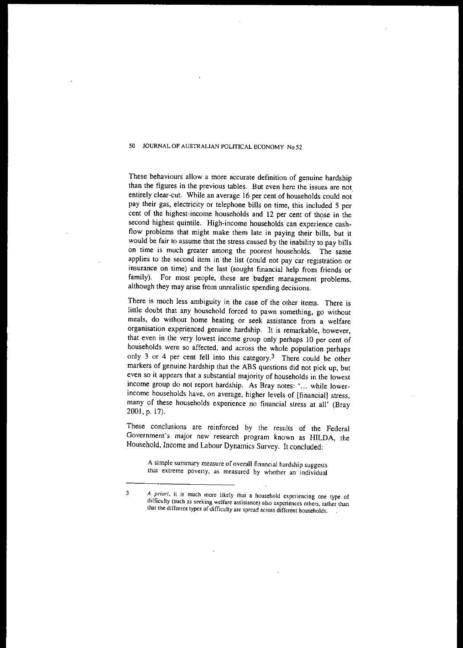These behaviours allow a more accurate definition of genuine hardship **than the figures in the previous tables. But even here the issues are not.** entirely clear-cut. While an average 16 per cent of households could not pay their gas, electricity or telephone bills on time, this included 5 per cent of the highest-income households and 12 per cent of those in the second highest quintile. High-income households can experience cashflow problems that might make them late in paying their bills, but it would be fair to assume that the stress caused by the inability to pay bills on time is much greater among the poorest households. The same applies to the second item in the list (could not pay car registration or insurance on time) and the last (sought financial help from friends or family). For most people, these are budget management problems, although they may arise from unrealistic spending decisions.

There is much less ambiguity in the case of the other items. There is little doubt that any household forced to pawn something, go without meals, do without home heating or seek assistance from a welfare organisation experienced genuine hardship. It is remarkable, however, that even in the very lowest income group only perhaps 10 per cent of households were so affected, and across the whole population perhaps only 3 or 4 per cent fell into this category.<sup>3</sup> There could be other markers of genuine hardship that the ABS questions did not pick up, but even so it appears that a substantial majority of households in the lowest income group do not report hardship. As Bray notes: •... while lowerincome households have, on average, higher levels of [financial] stress, many of these households experience no financial stress at all' (Bray 2001, p. 17).

These conclusions are reinforced by the results of the Federal **Government's major new research program known as HILDA, the** Household. Income and Labour Dynamics Survey. It concluded:

**A simple summary measure of overall financial hardship suggests that extreme poverty, as measured by whether an individual**

*<sup>3</sup> A priori,* **it is much more likely that a household experiencing one type of difficulty (such as seeking welfare assistance) also experiences others, rather than that the different types of difficulty are spread across different households.**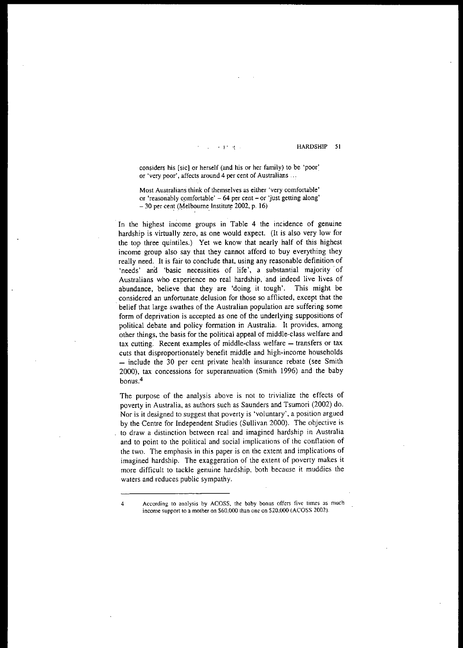**, j' ,t** HARDSHIP 51

**considers his [sic] or herself (and his or her family) to be 'poor: or 'very poor', affects around 4 per cent of Australians .. ,**

**Most Australians think of themselves as either 'very comfortable' or 'reasonably c9mfortable' - 64 per cent - or 'just getting along'** Most Australians think of themselves as either<br>or 'reasonably comfortable' – 64 per cent – or<br>– 30 per cent (Melbourne Institute 2002, p. 16)

In the highest income groups in Table 4 the incidence of genuine hardship is virtually zero, as one would expect. (It is also very low for the top three quintiles.) Yet we know that nearly half of this highest income group also say that they cannot afford to buy everything they really need. It is fair to conclude that, using any reasonable definition of 'needs' and 'basic necessities of life', a substantial majority' of Australians who experience no real hardship, and indeed live lives of abundance, believe that they are 'doing it tough'. This might be . considered an unfortunate delusion for those so afflicted, except that the belief that large swathes of the Australian population are suffering some form of deprivation is accepted as one of the underlying suppositions of political debate and policy formation in Australia. It provides, among other things, the basis for the political appeal of middle-class welfare and tax cutting. Recent examples of middle-class welfare - transfers or tax cuts that disproportionately benefit middle and high-income households  $-$  include the 30 per cent private health insurance rebate (see Smith 2000), tax concessions for superannuation (Smith 1996) and the baby **bonus.4**

The purpose of the analysis above is not to trivialize the effects of poverty in Australia, as authors such as Saunders and Tsumori (2002) do. **Nor is it designed to suggest that poverty is 'voluntary', a position argued** by the Centre for Independent Studies (Sullivan 2000). The objective is **to draw a distinction between real and imagined hardship in Australia** and to point to the political and social implications of the conflation of the two. The emphasis in this paper is on the extent and implications of imagined hardship. The exaggeration of the extent of poverty makes it more difficult to tackle genuine hardship, both because it muddies the waters and reduces public sympathy.

**<sup>4</sup> According to analysis by ACOSS, the baby bonus offers five times as much income support to a mother on \$60,000 than one on \$20.000 (ACOSS 2002).**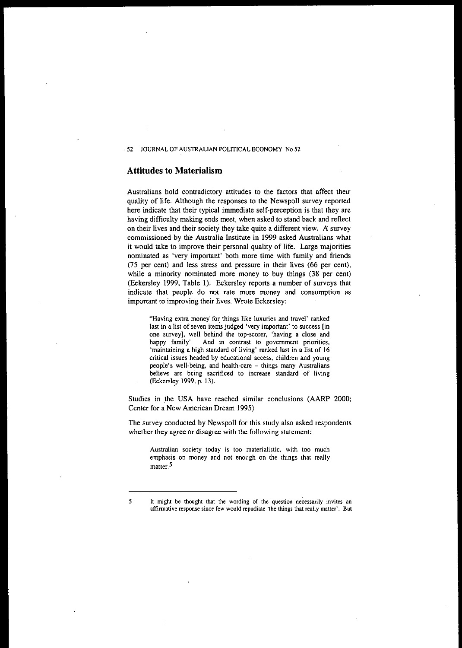## **Attitudes to Materialism**

Australians hold contradictory attitudes to the factors that affect their quality of life. Although the responses to the Newspoll survey reported here indicate that their typical immediate self-perception is that they are having difficulty making ends meet, when asked to stand back and reflect **on their lives and their society they take quite a different view. A survey** commissioned by the Australia Institute in 1999 asked Australians what it would take to improve their personal quality of life. Large majorities **nominated as 'very important' both more time with family and friends** (75 per cent) and less stress and pressure in their lives (66 per cent), while a minority nominated more money to buy things (38 per cent) (Eckersley 1999, Table I). Eckersley reports a number of surveys that indicate that people do not rate more money and consumption as important to improving their lives. Wrote Eckersley:

**"Having extra money' for things like luxuries and travel' ranked last in a list of seven items judged 'very important' to success [in one survey], well behind the top-scorer, 'having a close and happy family'. And in contrast to government priorities, 'maintaining a high standard of living' ranked last in a list of 16 critical issues headed by educational access, children and young people's well-being, and health-care - things many Australians believe are being sacrificed to increase standard of living** (Eckersley 1999, p. 13).

Studies in the USA have reached similar conclusions (AARP 2000; Center for a New American Dream 1995)

The survey conducted by Newspoll for this study also asked respondents whether they agree or disagree with the following statement:

**Australian society today is too materialistic, with too much emphasis on money and not enough on the things that really matter.5**

<sup>5</sup> **It might be thought that the wording of the question necessarily invites an affinnative response since few would repudiate 'the things that really matter'. But**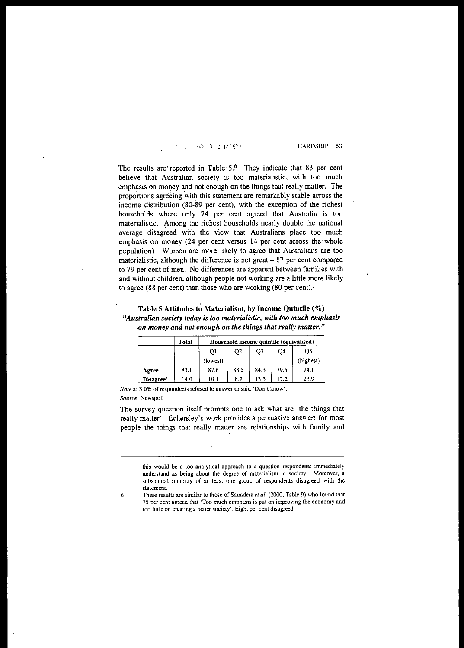#### 580 - 3 (1 17 920)

HARDSHIP 53

The results are reported in Table  $5.6$  They indicate that 83 per cent believe that Australian society is too materialistic. with too much emphasis on money and not enough on the things that really matter. The proportions agreeing with this statement are remarkably stable across the income distribution (80-89 per cent), with the exception of the richest households where only 74 per cent agreed that Australia is too materialistic. Among the richest households nearly double the national average disagreed with the view that Australians place too much emphasis on money (24 per cent versus 14 per cent across the' whole population). Women are more likely to agree that Australians are too materialistic, although the difference is not great  $-87$  per cent compared to 79 per cent of men. No differences are apparent between families with and without children, although people not working are a little more likely to agree (88 per cent) than those who are working (80 per cent):

| Table 5 Attitudes to Materialism, by Income Quintile $(\%)$            |
|------------------------------------------------------------------------|
| "Australian society today is too materialistic, with too much emphasis |
| on money and not enough on the things that really matter."             |

|           | Total | Household income quintile (equivalised) |                |      |      |           |  |  |
|-----------|-------|-----------------------------------------|----------------|------|------|-----------|--|--|
|           |       | O <sub>1</sub>                          | O <sub>2</sub> | Q3   | Q4   | O5        |  |  |
|           |       | (lowest)                                |                |      |      | (highest) |  |  |
| Agree     | 83.1  | 87.6                                    | 88.5           | 84.3 | 79.5 | 74.1      |  |  |
| Disagree" | 14.0  | 10.1                                    | 8.7            | 13.3 | 17.2 | 23.9      |  |  |

*Note* a: 3.0% of respondents refused to answer or said 'Don't know'. *Source:* Newspoll

The survey question itself prompts one to ask what are 'the things that really matter'. Eckersley's work provides a persuasive answer: for most people the things that really matter are relationships with family and

this would be a too analytical approach to a question respondents immediately understand as being about the degree of materialism in society. Moreover, a substantial minority of at least one group of respondents disagreed with the statement.

<sup>6</sup> These results are similar to those of Saunders *et al.* (2000, Table 9) who found that 75 per cent agreed that 'Too much emphasis is put on improving the economy and too little on creating a better society'. Eight per cent disagreed.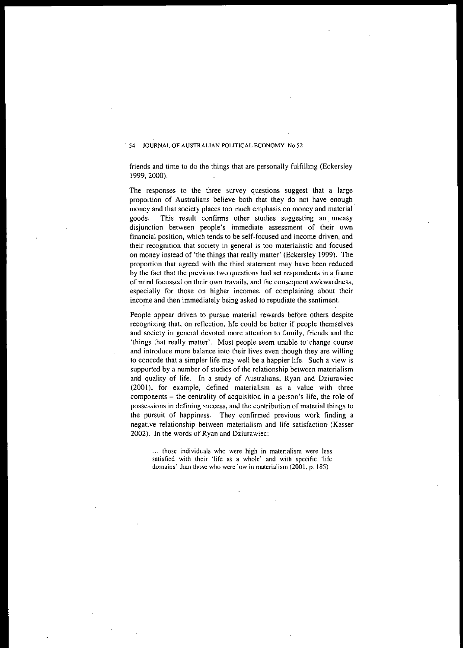friends and time to do the things that are personally fulfilling (Eckersley 1999,2000).

**The** responses to the three survey questions suggest that a large proportion of Australians believe both that they do not have enough money and that society places too much emphasis on money and material' goods. This result confirms other studies suggesting an. uneasy **disjunction between people's immediate assessment of their own financial position, which tends to be self-focused and income-driven, and their recognition that society in general is too materialistic and focused** on money instead of 'the things that really matter' (Eckersley 1999). The proportion that agreed with the third statement may have been reduced **by the fact that the previous two questions had set respondents in a .frame of mind focussed on their own travails, and the consequent awkwardness, especially for those on higher incomes, of complaining about their** income and then immediately being asked to repudiate the sentiment.

People appear driven to pursue material rewards before others despite recognizing that, on reflection, life could be better if people themselves **and society in general devoted more attention to family, friends and the** 'things that really matter'. Most people seem unable to' change course **and introduce more balance into their lives even though they are willing** to concede that a simpler life may well be a happier life. Such a view is supported by a number of studies of the relationship between materialism and quality of life. In a study of Australians, Ryan and Dziurawiec (2001), for example, defined materialism as a value with three components - the centrality of acquisition in a person's life, the role of **possessions in defining success, and the contribution of material things to** the pursuit of happiness. They confirmed previous work finding a **negative relationship** between materialism and life satisfaction (Kasser 2002). In the words of Ryan and Dziurawiec:

**those individuals who were high in materialism were less satisfied Wilh lheir 'life as a whole' and with specific 'life domains' than those who were low in materialism (2001, p. 185)**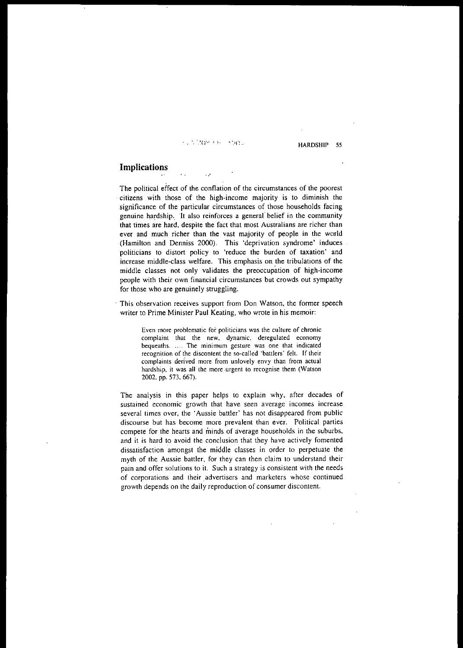## **COMPANY MARS**

,,'

HARDSHIP 55

# **Implications**

The political effect of the conflation of the circumstances of the poorest . **citizens with those of the high-income majority is to diminish the** significance of the particular circumstances of those households facing **genuine h.ardship,. "It also reinforces a general belief in the community that times are hard, despite the fact that most Australians are richer than** ever and much richer than the vast majority of people in the world (Hamilton and Denniss 2000). This 'deprivation syndrome' induces **politicians to distort policy to 'reduce the burden of taxation' and** increase middle-class welfare. This emphasis on the tribulations of the middle classes not only validates the preoccupation of high-income **people with their own financial circumstances but crowds out sympathy** for those who are genuinely struggling.

**This observation receives support from Don Watson, the former speech writer to Prime Minister Paul Keating, who wrote in his memoir:**

> **Even more problematic fOf politicians was the culture of chronic complaint that the new, dynamic, deregulated economy bequeaths.** .... **The minimum gesture was one that indicated recognition of the discontent the so-called 'battlers' felt. If their complaints derived more from unlovely envy than from actual hardship, it was all the more -urgent to recognise them (Watson** 2002, pp. 573. 667).

The analysis in this paper helps to explain why, after decades of **sustained economic growth that have seen average incomes increase several times over, the' Aussie battler' has not disappeared from public discourse but has become more prevalent than ever. Political parties compete for the hearts and minds of average households in the suburbs.** and it is hard to avoid the conclusion that they have actively fomented dissatisfaction amongst the middle classes in order to perpetuate the myth of the Aussie battler, for they can then claim to understand their **pain and offer solutions to it. Such a strategy is consistent with the needs of corporations and their .advertisers and marketers whose continued growth depends on the daily reproduction of consumer discontent.**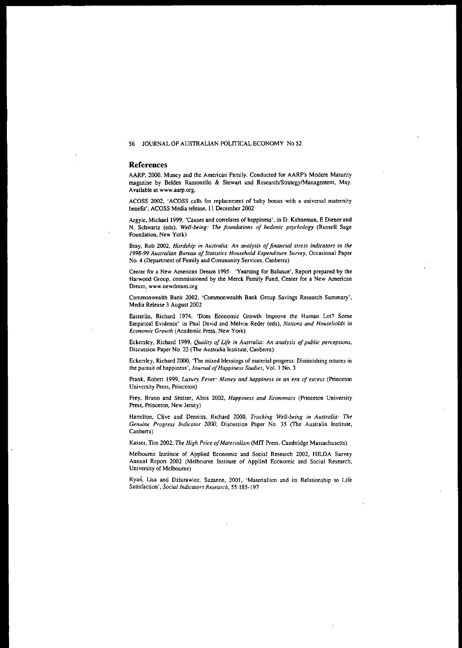#### References

AARP, 2000. Money and the American Family. Conducted for AARP's Modem Maturity magazine by Belden Russonello & Stewart and Research/Strategy/Management, May. Available at www.aarp.org.

ACOSS 2002, 'ACOSS calls for replacement of baby bonus with a universal maternity benefit' , ACOSS Media release, 11 December 2002

Argyle, Michae11999, 'Causes and correlates of happiness', in D. Kahneman, E Diener and N. Schwartz (eds), *Well-being: TIle foundations of hedonic psychology* (Russell Sage Foundation, New York)

Bray, Rob 2002, *Hardship in Australia: An analysis offinancial stress indicators in the 1998-99 Australian Bureau of Statistics Household Expenditure Survey,* Occasional Paper No. 4 (Department of Family and Community Services, Canberra)

Center for a New American Dream 1995. 'Yearning for Balance', Report prepared by the Harwood Group, commissioned by the Merck Family Fund, Center for a New American Dream, www.newdream.org

Commonwealth Bank 2002, 'Commonwealth Bank Group Savings Research Summary', Media Release 3 August 2002

Easterlin, Richard 1974, 'Does Economic Growth Improve the Human Lot? Some Empirical Evidence' in Paul David and Melvin Reder (eds), *Nations and Households* in *Economic Growth* (Academic Press, New York)

Eckersley, Richard 1999, *Quality of Life in Australia:* An *analysis of public perceptions,* Discussion Paper No. 23 (The Australia Institute, Canberra)

Eckersley, Richard 2000, 'The mixed blessings of material progress: Diminishing returns in the pursuit of happiness', *Journal of Happiness Studies*, Vol. 1 No. 3

Frank, Robert 1999, *Luxury Fever: Money and happiness in an era of excess* (Princeton University Press, Princeton)

Frey, Bruno and Stutzer, Alois 2002, *Happiness and Economics* (Princeton University Press, Princeton, New Jersey)

Hamilton, Clive and Denniss, Richard 2000, *Tracking Well-being in Australia: The Genuine Progress Indicator 2000,* Discussion Paper No. 35 (The Australia Institute, Canberra)

Kasser, Tim 2002, *The High Price ofMaterialism* (MIT Press, Cambridge Massachusetts)

Melbourne Institute of Applied Economic and Social Research 2002, HlLDA Survey Annual Report 2002 (Melbourne Institute of Applied Economic and Social Research, University of Melbourne)

Ryan, Lisa and Dziurawiec, Suzanne, 2001, 'Materialism and its Relationship to Life Satisfaction', *Social Indicators Research,* 55: 185-197